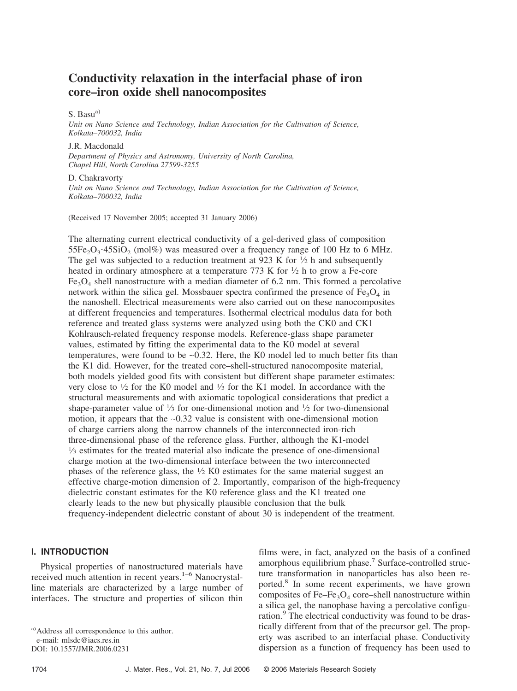# **Conductivity relaxation in the interfacial phase of iron core–iron oxide shell nanocomposites**

### S. Basu<sup>a)</sup>

*Unit on Nano Science and Technology, Indian Association for the Cultivation of Science, Kolkata–700032, India*

### J.R. Macdonald

*Department of Physics and Astronomy, University of North Carolina, Chapel Hill, North Carolina 27599-3255*

# D. Chakravorty

*Unit on Nano Science and Technology, Indian Association for the Cultivation of Science, Kolkata–700032, India*

(Received 17 November 2005; accepted 31 January 2006)

The alternating current electrical conductivity of a gel-derived glass of composition  $55Fe<sub>2</sub>O<sub>3</sub>·45SiO<sub>2</sub>$  (mol%) was measured over a frequency range of 100 Hz to 6 MHz. The gel was subjected to a reduction treatment at 923 K for  $\frac{1}{2}$  h and subsequently heated in ordinary atmosphere at a temperature 773 K for  $\frac{1}{2}$  h to grow a Fe-core  $Fe<sub>3</sub>O<sub>4</sub>$  shell nanostructure with a median diameter of 6.2 nm. This formed a percolative network within the silica gel. Mossbauer spectra confirmed the presence of  $Fe<sub>3</sub>O<sub>4</sub>$  in the nanoshell. Electrical measurements were also carried out on these nanocomposites at different frequencies and temperatures. Isothermal electrical modulus data for both reference and treated glass systems were analyzed using both the CK0 and CK1 Kohlrausch-related frequency response models. Reference-glass shape parameter values, estimated by fitting the experimental data to the K0 model at several temperatures, were found to be ∼0.32. Here, the K0 model led to much better fits than the K1 did. However, for the treated core–shell-structured nanocomposite material, both models yielded good fits with consistent but different shape parameter estimates: very close to  $\frac{1}{2}$  for the K0 model and  $\frac{1}{3}$  for the K1 model. In accordance with the structural measurements and with axiomatic topological considerations that predict a shape-parameter value of  $\frac{1}{3}$  for one-dimensional motion and  $\frac{1}{2}$  for two-dimensional motion, it appears that the ∼0.32 value is consistent with one-dimensional motion of charge carriers along the narrow channels of the interconnected iron-rich three-dimensional phase of the reference glass. Further, although the K1-model 1⁄3 estimates for the treated material also indicate the presence of one-dimensional charge motion at the two-dimensional interface between the two interconnected phases of the reference glass, the  $\frac{1}{2}$  K0 estimates for the same material suggest an effective charge-motion dimension of 2. Importantly, comparison of the high-frequency dielectric constant estimates for the K0 reference glass and the K1 treated one clearly leads to the new but physically plausible conclusion that the bulk frequency-independent dielectric constant of about 30 is independent of the treatment.

### **I. INTRODUCTION**

Physical properties of nanostructured materials have received much attention in recent years.<sup>1–6</sup> Nanocrystalline materials are characterized by a large number of interfaces. The structure and properties of silicon thin

films were, in fact, analyzed on the basis of a confined amorphous equilibrium phase.<sup>7</sup> Surface-controlled structure transformation in nanoparticles has also been reported.<sup>8</sup> In some recent experiments, we have grown composites of Fe–Fe<sub>3</sub>O<sub>4</sub> core–shell nanostructure within a silica gel, the nanophase having a percolative configuration.<sup>9</sup> The electrical conductivity was found to be drastically different from that of the precursor gel. The property was ascribed to an interfacial phase. Conductivity dispersion as a function of frequency has been used to

a) Address all correspondence to this author.

e-mail: mlsdc@iacs.res.in

DOI: 10.1557/JMR.2006.0231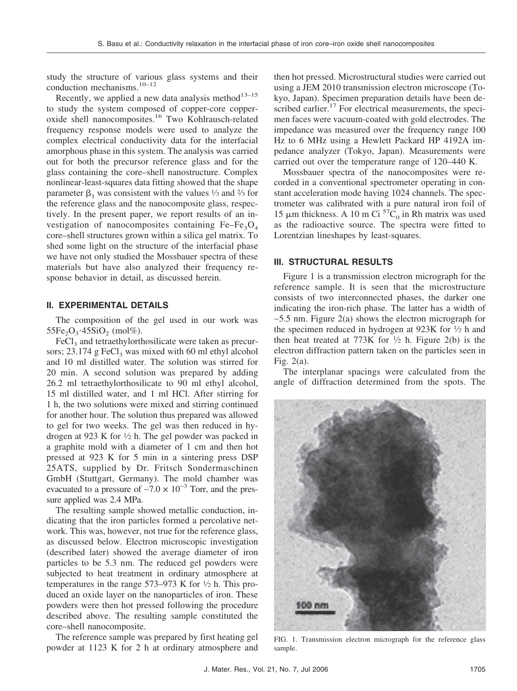study the structure of various glass systems and their conduction mechanisms.10–12

Recently, we applied a new data analysis method $13-15$ to study the system composed of copper-core copperoxide shell nanocomposites.16 Two Kohlrausch-related frequency response models were used to analyze the complex electrical conductivity data for the interfacial amorphous phase in this system. The analysis was carried out for both the precursor reference glass and for the glass containing the core–shell nanostructure. Complex nonlinear-least-squares data fitting showed that the shape parameter  $\beta_1$  was consistent with the values  $\frac{1}{3}$  and  $\frac{2}{3}$  for the reference glass and the nanocomposite glass, respectively. In the present paper, we report results of an investigation of nanocomposites containing  $Fe-Fe<sub>3</sub>O<sub>4</sub>$ core–shell structures grown within a silica gel matrix. To shed some light on the structure of the interfacial phase we have not only studied the Mossbauer spectra of these materials but have also analyzed their frequency response behavior in detail, as discussed herein.

# **II. EXPERIMENTAL DETAILS**

The composition of the gel used in our work was  $55Fe_2O_3.45SiO_2$  (mol%).

 $FeCl<sub>3</sub>$  and tetraethylorthosilicate were taken as precursors;  $23.174$  g FeCl<sub>3</sub> was mixed with 60 ml ethyl alcohol and 10 ml distilled water. The solution was stirred for 20 min. A second solution was prepared by adding 26.2 ml tetraethylorthosilicate to 90 ml ethyl alcohol, 15 ml distilled water, and 1 ml HCl. After stirring for 1 h, the two solutions were mixed and stirring continued for another hour. The solution thus prepared was allowed to gel for two weeks. The gel was then reduced in hydrogen at 923 K for  $\frac{1}{2}$  h. The gel powder was packed in a graphite mold with a diameter of 1 cm and then hot pressed at 923 K for 5 min in a sintering press DSP 25ATS, supplied by Dr. Fritsch Sondermaschinen GmbH (Stuttgart, Germany). The mold chamber was evacuated to a pressure of ~7.0  $\times$  10<sup>-3</sup> Torr, and the pressure applied was 2.4 MPa.

The resulting sample showed metallic conduction, indicating that the iron particles formed a percolative network. This was, however, not true for the reference glass, as discussed below. Electron microscopic investigation (described later) showed the average diameter of iron particles to be 5.3 nm. The reduced gel powders were subjected to heat treatment in ordinary atmosphere at temperatures in the range  $573-973$  K for  $\frac{1}{2}$  h. This produced an oxide layer on the nanoparticles of iron. These powders were then hot pressed following the procedure described above. The resulting sample constituted the core–shell nanocomposite.

The reference sample was prepared by first heating gel powder at 1123 K for 2 h at ordinary atmosphere and then hot pressed. Microstructural studies were carried out using a JEM 2010 transmission electron microscope (Tokyo, Japan). Specimen preparation details have been described earlier. $17$  For electrical measurements, the specimen faces were vacuum-coated with gold electrodes. The impedance was measured over the frequency range 100 Hz to 6 MHz using a Hewlett Packard HP 4192A impedance analyzer (Tokyo, Japan). Measurements were carried out over the temperature range of 120–440 K.

Mossbauer spectra of the nanocomposites were recorded in a conventional spectrometer operating in constant acceleration mode having 1024 channels. The spectrometer was calibrated with a pure natural iron foil of 15  $\mu$ m thickness. A 10 m Ci<sup>57</sup>C<sub>0</sub> in Rh matrix was used as the radioactive source. The spectra were fitted to Lorentzian lineshapes by least-squares.

# **III. STRUCTURAL RESULTS**

Figure 1 is a transmission electron micrograph for the reference sample. It is seen that the microstructure consists of two interconnected phases, the darker one indicating the iron-rich phase. The latter has a width of ∼5.5 nm. Figure 2(a) shows the electron micrograph for the specimen reduced in hydrogen at 923K for  $\frac{1}{2}$  h and then heat treated at 773K for  $\frac{1}{2}$  h. Figure 2(b) is the electron diffraction pattern taken on the particles seen in Fig.  $2(a)$ .

The interplanar spacings were calculated from the angle of diffraction determined from the spots. The



FIG. 1. Transmission electron micrograph for the reference glass sample.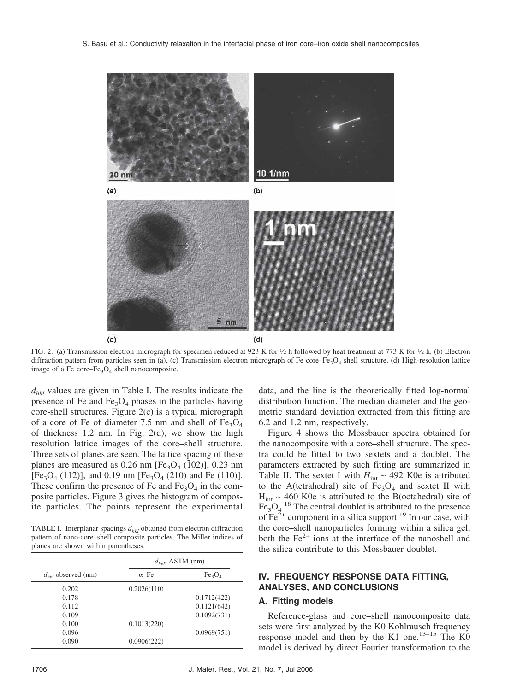

FIG. 2. (a) Transmission electron micrograph for specimen reduced at 923 K for  $\frac{1}{2}$  h followed by heat treatment at 773 K for  $\frac{1}{2}$  h. (b) Electron diffraction pattern from particles seen in (a). (c) Transmission electron micrograph of Fe core–Fe<sub>3</sub>O<sub>4</sub> shell structure. (d) High-resolution lattice image of a Fe core–Fe<sub>3</sub>O<sub>4</sub> shell nanocomposite.

*dhkl* values are given in Table I. The results indicate the presence of Fe and  $Fe<sub>3</sub>O<sub>4</sub>$  phases in the particles having core-shell structures. Figure 2(c) is a typical micrograph of a core of Fe of diameter 7.5 nm and shell of  $Fe<sub>3</sub>O<sub>4</sub>$ of thickness 1.2 nm. In Fig. 2(d), we show the high resolution lattice images of the core–shell structure. Three sets of planes are seen. The lattice spacing of these planes are measured as  $0.26$  nm [Fe<sub>3</sub>O<sub>4</sub> (1<sup>o2</sup>2)], 0.23 nm  $[Fe<sub>3</sub>O<sub>4</sub> (112)]$ , and 0.19 nm  $[Fe<sub>3</sub>O<sub>4</sub> (210)$  and Fe (110)]. These confirm the presence of Fe and  $Fe<sub>3</sub>O<sub>4</sub>$  in the composite particles. Figure 3 gives the histogram of composite particles. The points represent the experimental

TABLE I. Interplanar spacings  $d_{hkl}$  obtained from electron diffraction pattern of nano-core–shell composite particles. The Miller indices of planes are shown within parentheses.

|                         |              | $d_{hkl}$ , ASTM (nm)          |  |  |  |  |
|-------------------------|--------------|--------------------------------|--|--|--|--|
| $d_{hkl}$ observed (nm) | $\alpha$ -Fe | Fe <sub>3</sub> O <sub>4</sub> |  |  |  |  |
| 0.202                   | 0.2026(110)  |                                |  |  |  |  |
| 0.178                   |              | 0.1712(422)                    |  |  |  |  |
| 0.112                   |              | 0.1121(642)                    |  |  |  |  |
| 0.109                   |              | 0.1092(731)                    |  |  |  |  |
| 0.100                   | 0.1013(220)  |                                |  |  |  |  |
| 0.096                   |              | 0.0969(751)                    |  |  |  |  |
| 0.090                   | 0.0906(222)  |                                |  |  |  |  |

data, and the line is the theoretically fitted log-normal distribution function. The median diameter and the geometric standard deviation extracted from this fitting are 6.2 and 1.2 nm, respectively.

Figure 4 shows the Mossbauer spectra obtained for the nanocomposite with a core–shell structure. The spectra could be fitted to two sextets and a doublet. The parameters extracted by such fitting are summarized in Table II. The sextet I with  $H_{int}$  ~ 492 K0e is attributed to the A(tetrahedral) site of  $Fe<sub>3</sub>O<sub>4</sub>$  and sextet II with Hint ∼ 460 K0e is attributed to the B(octahedral) site of  $Fe<sub>3</sub>O<sub>4</sub>$ .<sup>18</sup> The central doublet is attributed to the presence of  $Fe<sup>2+</sup>$  component in a silica support.<sup>19</sup> In our case, with the core–shell nanoparticles forming within a silica gel, both the  $Fe<sup>2+</sup>$  ions at the interface of the nanoshell and the silica contribute to this Mossbauer doublet.

# **IV. FREQUENCY RESPONSE DATA FITTING, ANALYSES, AND CONCLUSIONS**

### **A. Fitting models**

Reference-glass and core–shell nanocomposite data sets were first analyzed by the K0 Kohlrausch frequency response model and then by the K1 one. $13-15$  The K0 model is derived by direct Fourier transformation to the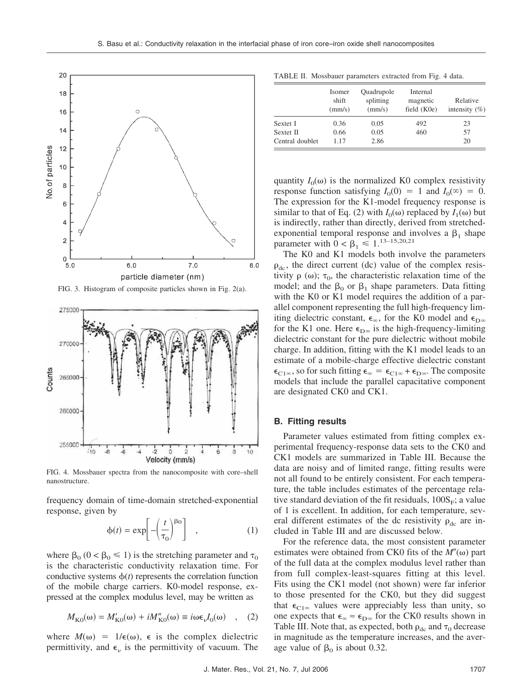

FIG. 3. Histogram of composite particles shown in Fig. 2(a).



FIG. 4. Mossbauer spectra from the nanocomposite with core–shell nanostructure.

frequency domain of time-domain stretched-exponential response, given by

$$
\phi(t) = \exp\left[-\left(\frac{t}{\tau_0}\right)^{\beta_0}\right] \quad , \tag{1}
$$

where  $\beta_0$  ( $0 < \beta_0 \le 1$ ) is the stretching parameter and  $\tau_0$ is the characteristic conductivity relaxation time. For conductive systems  $\phi(t)$  represents the correlation function of the mobile charge carriers. K0-model response, expressed at the complex modulus level, may be written as

$$
M_{\text{K0}}(\omega) = M'_{\text{K0}}(\omega) + iM''_{\text{K0}}(\omega) \equiv i\omega \epsilon_{\nu} I_0(\omega) \quad , \quad (2)
$$

where  $M(\omega) = 1/\epsilon(\omega)$ ,  $\epsilon$  is the complex dielectric permittivity, and  $\epsilon_{\nu}$  is the permittivity of vacuum. The

TABLE II. Mossbauer parameters extracted from Fig. 4 data.

|                 | Isomer<br>shift<br>(mm/s) | <b>Ouadrupole</b><br>splitting<br>(mm/s) | Internal<br>magnetic<br>field (K0e) | Relative<br>intensity $(\% )$ |
|-----------------|---------------------------|------------------------------------------|-------------------------------------|-------------------------------|
| Sextet I        | 0.36                      | 0.05                                     | 492                                 | 23                            |
| Sextet II       | 0.66                      | 0.05                                     | 460                                 | 57                            |
| Central doublet | 1.17                      | 2.86                                     |                                     | 20                            |

quantity  $I_0(\omega)$  is the normalized K0 complex resistivity response function satisfying  $I_0(0) = 1$  and  $I_0(\infty) = 0$ . The expression for the K1-model frequency response is similar to that of Eq. (2) with  $I_0(\omega)$  replaced by  $I_1(\omega)$  but is indirectly, rather than directly, derived from stretchedexponential temporal response and involves a  $\beta_1$  shape parameter with  $0 < \beta_1 \le 1^{13-15,20,21}$ 

The K0 and K1 models both involve the parameters  $\rho_{\rm dc}$ , the direct current (dc) value of the complex resistivity  $\rho(\omega)$ ;  $\tau_0$ , the characteristic relaxation time of the model; and the  $\beta_0$  or  $\beta_1$  shape parameters. Data fitting with the K0 or K1 model requires the addition of a parallel component representing the full high-frequency limiting dielectric constant,  $\epsilon_{\infty}$ , for the K0 model and  $\epsilon_{D\infty}$ for the K1 one. Here  $\epsilon_{D\infty}$  is the high-frequency-limiting dielectric constant for the pure dielectric without mobile charge. In addition, fitting with the K1 model leads to an estimate of a mobile-charge effective dielectric constant  $\epsilon_{C1\infty}$ , so for such fitting  $\epsilon_{\infty} = \epsilon_{C1\infty} + \epsilon_{D\infty}$ . The composite models that include the parallel capacitative component are designated CK0 and CK1.

# **B. Fitting results**

Parameter values estimated from fitting complex experimental frequency-response data sets to the CK0 and CK1 models are summarized in Table III. Because the data are noisy and of limited range, fitting results were not all found to be entirely consistent. For each temperature, the table includes estimates of the percentage relative standard deviation of the fit residuals,  $100S<sub>E</sub>$ ; a value of 1 is excellent. In addition, for each temperature, several different estimates of the dc resistivity  $\rho_{\rm dc}$  are included in Table III and are discussed below.

For the reference data, the most consistent parameter estimates were obtained from CK0 fits of the  $M''(\omega)$  part of the full data at the complex modulus level rather than from full complex-least-squares fitting at this level. Fits using the CK1 model (not shown) were far inferior to those presented for the CK0, but they did suggest that  $\epsilon_{C1\infty}$  values were appreciably less than unity, so one expects that  $\epsilon_{\infty} \approx \epsilon_{D\infty}$  for the CK0 results shown in Table III. Note that, as expected, both  $\rho_{dc}$  and  $\tau_0$  decrease in magnitude as the temperature increases, and the average value of  $\beta_0$  is about 0.32.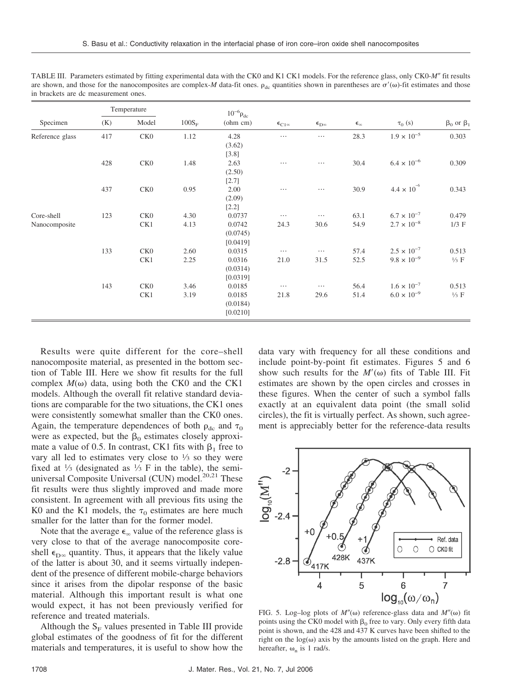|                             | Temperature |                        |              | $10^{-6} \rho_{dc}$                      |                       |                             |                                |                                              |                          |
|-----------------------------|-------------|------------------------|--------------|------------------------------------------|-----------------------|-----------------------------|--------------------------------|----------------------------------------------|--------------------------|
| Specimen                    | (K)         | Model                  | $100S_F$     | $(\text{ohm cm})$                        | $\epsilon_{C1\infty}$ | $\epsilon_{\rm D^{\infty}}$ | $\boldsymbol{\epsilon}_\infty$ | $\tau_0$ (s)                                 | $\beta_0$ or $\beta_1$   |
| Reference glass             | 417         | CK <sub>0</sub>        | 1.12         | 4.28<br>(3.62)<br>$[3.8]$                | $\cdots$              | $\cdots$                    | 28.3                           | $1.9 \times 10^{-5}$                         | 0.303                    |
|                             | 428         | CK <sub>0</sub>        | 1.48         | 2.63<br>(2.50)<br>$[2.7]$                | $\cdots$              | $\cdots$                    | 30.4                           | $6.4 \times 10^{-6}$                         | 0.309                    |
|                             | 437         | CK <sub>0</sub>        | 0.95         | 2.00<br>(2.09)<br>$[2.2]$                | $\cdots$              | $\ldots$                    | 30.9                           | $4.4 \times 10^{-6}$                         | 0.343                    |
| Core-shell<br>Nanocomposite | 123         | CK <sub>0</sub><br>CK1 | 4.30<br>4.13 | 0.0737<br>0.0742<br>(0.0745)<br>[0.0419] | $\cdots$<br>24.3      | $\cdots$<br>30.6            | 63.1<br>54.9                   | $6.7 \times 10^{-7}$<br>$2.7 \times 10^{-8}$ | 0.479<br>$1/3$ F         |
|                             | 133         | CK <sub>0</sub><br>CK1 | 2.60<br>2.25 | 0.0315<br>0.0316<br>(0.0314)<br>[0.0319] | $\cdots$<br>21.0      | $\cdots$<br>31.5            | 57.4<br>52.5                   | $2.5 \times 10^{-7}$<br>$9.8 \times 10^{-9}$ | 0.513<br>$\frac{1}{3}$ F |
|                             | 143         | CKO<br>CK1             | 3.46<br>3.19 | 0.0185<br>0.0185<br>(0.0184)<br>[0.0210] | $\cdots$<br>21.8      | $\cdots$<br>29.6            | 56.4<br>51.4                   | $1.6 \times 10^{-7}$<br>$6.0 \times 10^{-9}$ | 0.513<br>$\frac{1}{3}$ F |

TABLE III. Parameters estimated by fitting experimental data with the CK0 and K1 CK1 models. For the reference glass, only CK0-*M*- fit results are shown, and those for the nanocomposites are complex-*M* data-fit ones.  $\rho_{\rm dc}$  quantities shown in parentheses are  $\sigma'(\omega)$ -fit estimates and those in brackets are dc measurement ones.

Results were quite different for the core–shell nanocomposite material, as presented in the bottom section of Table III. Here we show fit results for the full complex  $M(\omega)$  data, using both the CK0 and the CK1 models. Although the overall fit relative standard deviations are comparable for the two situations, the CK1 ones were consistently somewhat smaller than the CK0 ones. Again, the temperature dependences of both  $\rho_{dc}$  and  $\tau_0$ were as expected, but the  $\beta_0$  estimates closely approximate a value of 0.5. In contrast, CK1 fits with  $\beta_1$  free to vary all led to estimates very close to  $\frac{1}{3}$  so they were fixed at  $\frac{1}{3}$  (designated as  $\frac{1}{3}$  F in the table), the semiuniversal Composite Universal (CUN) model.<sup>20,21</sup> These fit results were thus slightly improved and made more consistent. In agreement with all previous fits using the K0 and the K1 models, the  $\tau_0$  estimates are here much smaller for the latter than for the former model.

Note that the average  $\epsilon_{\infty}$  value of the reference glass is very close to that of the average nanocomposite coreshell  $\epsilon_{D\infty}$  quantity. Thus, it appears that the likely value of the latter is about 30, and it seems virtually independent of the presence of different mobile-charge behaviors since it arises from the dipolar response of the basic material. Although this important result is what one would expect, it has not been previously verified for reference and treated materials.

Although the  $S_F$  values presented in Table III provide global estimates of the goodness of fit for the different materials and temperatures, it is useful to show how the data vary with frequency for all these conditions and include point-by-point fit estimates. Figures 5 and 6 show such results for the  $M'(\omega)$  fits of Table III. Fit estimates are shown by the open circles and crosses in these figures. When the center of such a symbol falls exactly at an equivalent data point (the small solid circles), the fit is virtually perfect. As shown, such agreement is appreciably better for the reference-data results



FIG. 5. Log-log plots of  $M''(\omega)$  reference-glass data and  $M''(\omega)$  fit points using the CK0 model with  $\beta_0$  free to vary. Only every fifth data point is shown, and the 428 and 437 K curves have been shifted to the right on the  $log(\omega)$  axis by the amounts listed on the graph. Here and hereafter,  $\omega_n$  is 1 rad/s.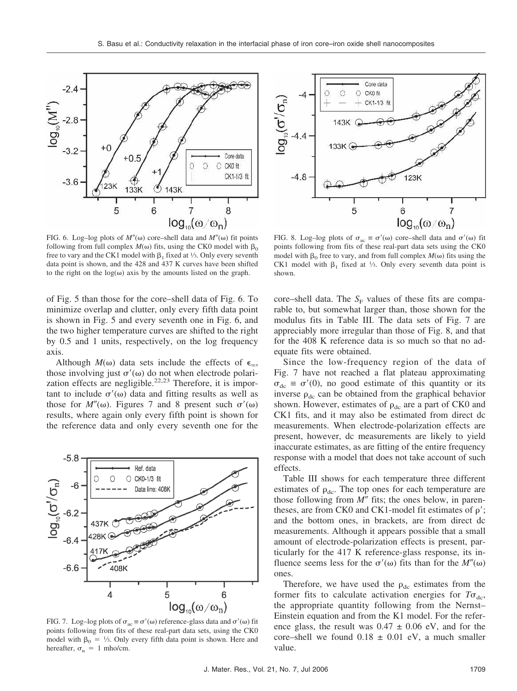

FIG. 6. Log-log plots of  $M''(\omega)$  core–shell data and  $M''(\omega)$  fit points following from full complex  $M(\omega)$  fits, using the CK0 model with  $\beta_0$ free to vary and the CK1 model with  $\beta_1$  fixed at  $\frac{1}{3}$ . Only every seventh data point is shown, and the 428 and 437 K curves have been shifted to the right on the  $log(\omega)$  axis by the amounts listed on the graph.

of Fig. 5 than those for the core–shell data of Fig. 6. To minimize overlap and clutter, only every fifth data point is shown in Fig. 5 and every seventh one in Fig. 6, and the two higher temperature curves are shifted to the right by 0.5 and 1 units, respectively, on the log frequency axis.

Although  $M(\omega)$  data sets include the effects of  $\epsilon_{\infty}$ , those involving just  $\sigma'(\omega)$  do not when electrode polarization effects are negligible.<sup>22,23</sup> Therefore, it is important to include  $\sigma'(\omega)$  data and fitting results as well as those for  $M''(\omega)$ . Figures 7 and 8 present such  $\sigma'(\omega)$ results, where again only every fifth point is shown for the reference data and only every seventh one for the



FIG. 7. Log–log plots of  $\sigma_{ac} \equiv \sigma'(\omega)$  reference-glass data and  $\sigma'(\omega)$  fit points following from fits of these real-part data sets, using the CK0 model with  $\beta_0 = \frac{1}{3}$ . Only every fifth data point is shown. Here and hereafter,  $\sigma_n = 1$  mho/cm.



FIG. 8. Log-log plots of  $\sigma_{ac} \equiv \sigma'(\omega)$  core–shell data and  $\sigma'(\omega)$  fit points following from fits of these real-part data sets using the CK0 model with  $\beta_0$  free to vary, and from full complex  $M(\omega)$  fits using the CK1 model with  $\beta_1$  fixed at 1/3. Only every seventh data point is shown.

core–shell data. The  $S_F$  values of these fits are comparable to, but somewhat larger than, those shown for the modulus fits in Table III. The data sets of Fig. 7 are appreciably more irregular than those of Fig. 8, and that for the 408 K reference data is so much so that no adequate fits were obtained.

Since the low-frequency region of the data of Fig. 7 have not reached a flat plateau approximating  $\sigma_{dc} \equiv \sigma'(0)$ , no good estimate of this quantity or its inverse  $\rho_{\rm dc}$  can be obtained from the graphical behavior shown. However, estimates of  $\rho_{dc}$  are a part of CK0 and CK1 fits, and it may also be estimated from direct dc measurements. When electrode-polarization effects are present, however, dc measurements are likely to yield inaccurate estimates, as are fitting of the entire frequency response with a model that does not take account of such effects.

Table III shows for each temperature three different estimates of  $\rho_{\text{dc}}$ . The top ones for each temperature are those following from  $M''$  fits; the ones below, in parentheses, are from CK0 and CK1-model fit estimates of  $\rho'$ ; and the bottom ones, in brackets, are from direct dc measurements. Although it appears possible that a small amount of electrode-polarization effects is present, particularly for the 417 K reference-glass response, its influence seems less for the  $\sigma'(\omega)$  fits than for the  $M''(\omega)$ ones.

Therefore, we have used the  $\rho_{dc}$  estimates from the former fits to calculate activation energies for  $T\sigma_{\text{dc}}$ , the appropriate quantity following from the Nernst– Einstein equation and from the K1 model. For the reference glass, the result was  $0.47 \pm 0.06$  eV, and for the core–shell we found  $0.18 \pm 0.01$  eV, a much smaller value.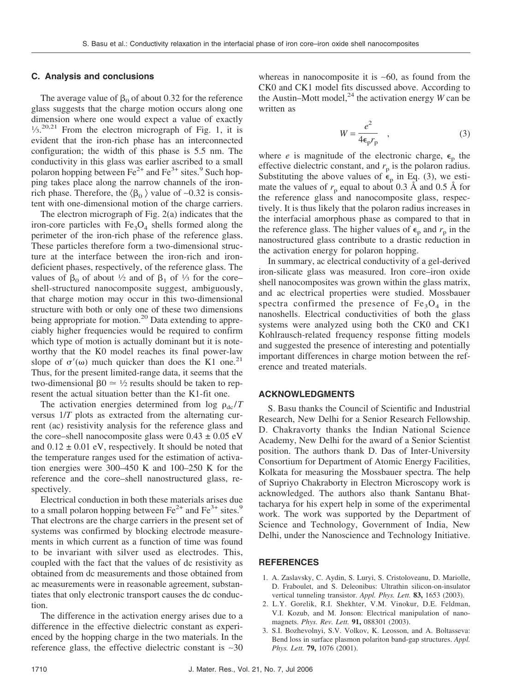### **C. Analysis and conclusions**

The average value of  $\beta_0$  of about 0.32 for the reference glass suggests that the charge motion occurs along one dimension where one would expect a value of exactly  $1/3$ <sup>20,21</sup> From the electron micrograph of Fig. 1, it is evident that the iron-rich phase has an interconnected configuration; the width of this phase is 5.5 nm. The conductivity in this glass was earlier ascribed to a small polaron hopping between  $Fe^{2+}$  and  $Fe^{3+}$  sites.<sup>9</sup> Such hopping takes place along the narrow channels of the ironrich phase. Therefore, the  $\langle \beta_0 \rangle$  value of ~0.32 is consistent with one-dimensional motion of the charge carriers.

The electron micrograph of Fig. 2(a) indicates that the iron-core particles with  $Fe<sub>3</sub>O<sub>4</sub>$  shells formed along the perimeter of the iron-rich phase of the reference glass. These particles therefore form a two-dimensional structure at the interface between the iron-rich and irondeficient phases, respectively, of the reference glass. The values of  $\beta_0$  of about  $\frac{1}{2}$  and of  $\beta_1$  of  $\frac{1}{3}$  for the coreshell-structured nanocomposite suggest, ambiguously, that charge motion may occur in this two-dimensional structure with both or only one of these two dimensions being appropriate for motion.<sup>20</sup> Data extending to appreciably higher frequencies would be required to confirm which type of motion is actually dominant but it is noteworthy that the K0 model reaches its final power-law slope of  $\sigma'(\omega)$  much quicker than does the K1 one.<sup>21</sup> Thus, for the present limited-range data, it seems that the two-dimensional  $\beta_0 \approx \frac{1}{2}$  results should be taken to represent the actual situation better than the K1-fit one.

The activation energies determined from  $\log \rho_{\rm dc}/T$ versus 1/*T* plots as extracted from the alternating current (ac) resistivity analysis for the reference glass and the core–shell nanocomposite glass were  $0.43 \pm 0.05$  eV and  $0.12 \pm 0.01$  eV, respectively. It should be noted that the temperature ranges used for the estimation of activation energies were 300–450 K and 100–250 K for the reference and the core–shell nanostructured glass, respectively.

Electrical conduction in both these materials arises due to a small polaron hopping between  $Fe^{2+}$  and  $Fe^{3+}$  sites.<sup>9</sup> That electrons are the charge carriers in the present set of systems was confirmed by blocking electrode measurements in which current as a function of time was found to be invariant with silver used as electrodes. This, coupled with the fact that the values of dc resistivity as obtained from dc measurements and those obtained from ac measurements were in reasonable agreement, substantiates that only electronic transport causes the dc conduction.

The difference in the activation energy arises due to a difference in the effective dielectric constant as experienced by the hopping charge in the two materials. In the reference glass, the effective dielectric constant is ∼30 whereas in nanocomposite it is ∼60, as found from the CK0 and CK1 model fits discussed above. According to the Austin–Mott model,<sup>24</sup> the activation energy *W* can be written as

$$
W = \frac{e^2}{4\epsilon_p r_p} \quad , \tag{3}
$$

where *e* is magnitude of the electronic charge,  $\epsilon_p$  the effective dielectric constant, and  $r_p$  is the polaron radius. Substituting the above values of  $\epsilon_p$  in Eq. (3), we estimate the values of  $r_p$  equal to about 0.3 Å and 0.5 Å for the reference glass and nanocomposite glass, respectively. It is thus likely that the polaron radius increases in the interfacial amorphous phase as compared to that in the reference glass. The higher values of  $\epsilon_p$  and  $r_p$  in the nanostructured glass contribute to a drastic reduction in the activation energy for polaron hopping.

In summary, ac electrical conductivity of a gel-derived iron-silicate glass was measured. Iron core–iron oxide shell nanocomposites was grown within the glass matrix, and ac electrical properties were studied. Mossbauer spectra confirmed the presence of  $Fe<sub>3</sub>O<sub>4</sub>$  in the nanoshells. Electrical conductivities of both the glass systems were analyzed using both the CK0 and CK1 Kohlrausch-related frequency response fitting models and suggested the presence of interesting and potentially important differences in charge motion between the reference and treated materials.

# **ACKNOWLEDGMENTS**

S. Basu thanks the Council of Scientific and Industrial Research, New Delhi for a Senior Research Fellowship. D. Chakravorty thanks the Indian National Science Academy, New Delhi for the award of a Senior Scientist position. The authors thank D. Das of Inter-University Consortium for Department of Atomic Energy Facilities, Kolkata for measuring the Mossbauer spectra. The help of Supriyo Chakraborty in Electron Microscopy work is acknowledged. The authors also thank Santanu Bhattacharya for his expert help in some of the experimental work. The work was supported by the Department of Science and Technology, Government of India, New Delhi, under the Nanoscience and Technology Initiative.

### **REFERENCES**

- 1. A. Zaslavsky, C. Aydin, S. Luryi, S. Cristoloveanu, D. Mariolle, D. Fraboulet, and S. Deleonibus: Ultrathin silicon-on-insulator vertical tunneling transistor. *Appl. Phys. Lett.* **83,** 1653 (2003).
- 2. L.Y. Gorelik, R.I. Shekhter, V.M. Vinokur, D.E. Feldman, V.I. Kozub, and M. Jonson: Electrical manipulation of nanomagnets. *Phys. Rev. Lett.* **91,** 088301 (2003).
- 3. S.I. Bozhevolnyi, S.V. Volkov, K. Leosson, and A. Boltasseva: Bend loss in surface plasmon polariton band-gap structures. *Appl. Phys. Lett.* **79,** 1076 (2001).